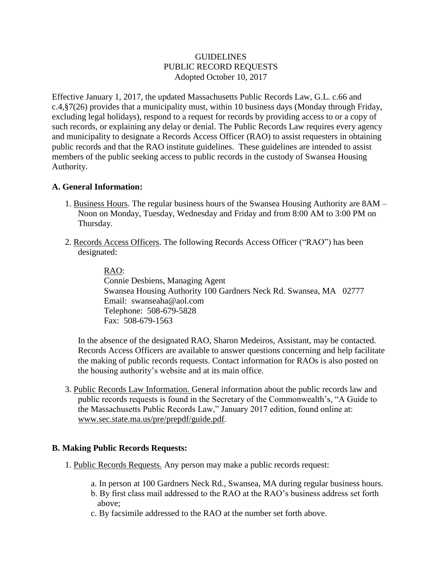## **GUIDELINES** PUBLIC RECORD REQUESTS Adopted October 10, 2017

Effective January 1, 2017, the updated Massachusetts Public Records Law, G.L. c.66 and  $c.4$ ,  $\frac{87(26)}{20}$  provides that a municipality must, within 10 business days (Monday through Friday, excluding legal holidays), respond to a request for records by providing access to or a copy of such records, or explaining any delay or denial. The Public Records Law requires every agency and municipality to designate a Records Access Officer (RAO) to assist requesters in obtaining public records and that the RAO institute guidelines. These guidelines are intended to assist members of the public seeking access to public records in the custody of Swansea Housing Authority.

### **A. General Information:**

- 1. Business Hours. The regular business hours of the Swansea Housing Authority are 8AM Noon on Monday, Tuesday, Wednesday and Friday and from 8:00 AM to 3:00 PM on Thursday.
- 2. Records Access Officers. The following Records Access Officer ("RAO") has been designated:

RAO:

Connie Desbiens, Managing Agent Swansea Housing Authority 100 Gardners Neck Rd. Swansea, MA 02777 Email: swanseaha@aol.com Telephone: 508-679-5828 Fax: 508-679-1563

In the absence of the designated RAO, Sharon Medeiros, Assistant, may be contacted. Records Access Officers are available to answer questions concerning and help facilitate the making of public records requests. Contact information for RAOs is also posted on the housing authority's website and at its main office.

3. Public Records Law Information. General information about the public records law and public records requests is found in the Secretary of the Commonwealth's, "A Guide to the Massachusetts Public Records Law," January 2017 edition, found online at: www.sec.state.ma.us/pre/prepdf/guide.pdf.

### **B. Making Public Records Requests:**

- 1. Public Records Requests. Any person may make a public records request:
	- a. In person at 100 Gardners Neck Rd., Swansea, MA during regular business hours.
	- b. By first class mail addressed to the RAO at the RAO's business address set forth above;
	- c. By facsimile addressed to the RAO at the number set forth above.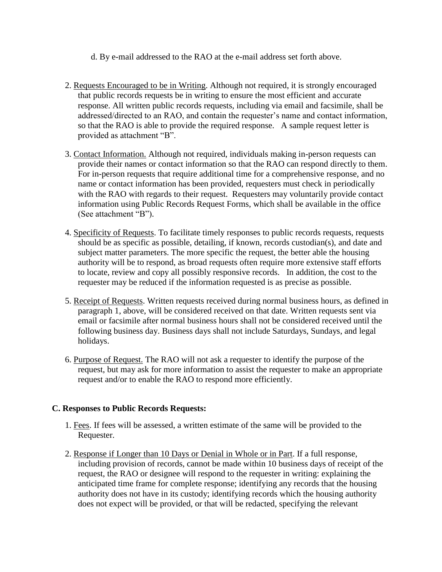d. By e-mail addressed to the RAO at the e-mail address set forth above.

- 2. Requests Encouraged to be in Writing. Although not required, it is strongly encouraged that public records requests be in writing to ensure the most efficient and accurate response. All written public records requests, including via email and facsimile, shall be addressed/directed to an RAO, and contain the requester's name and contact information, so that the RAO is able to provide the required response. A sample request letter is provided as attachment "B".
- 3. Contact Information. Although not required, individuals making in-person requests can provide their names or contact information so that the RAO can respond directly to them. For in-person requests that require additional time for a comprehensive response, and no name or contact information has been provided, requesters must check in periodically with the RAO with regards to their request. Requesters may voluntarily provide contact information using Public Records Request Forms, which shall be available in the office (See attachment "B").
- 4. Specificity of Requests. To facilitate timely responses to public records requests, requests should be as specific as possible, detailing, if known, records custodian(s), and date and subject matter parameters. The more specific the request, the better able the housing authority will be to respond, as broad requests often require more extensive staff efforts to locate, review and copy all possibly responsive records. In addition, the cost to the requester may be reduced if the information requested is as precise as possible.
- 5. Receipt of Requests. Written requests received during normal business hours, as defined in paragraph 1, above, will be considered received on that date. Written requests sent via email or facsimile after normal business hours shall not be considered received until the following business day. Business days shall not include Saturdays, Sundays, and legal holidays.
- 6. Purpose of Request. The RAO will not ask a requester to identify the purpose of the request, but may ask for more information to assist the requester to make an appropriate request and/or to enable the RAO to respond more efficiently.

# **C. Responses to Public Records Requests:**

- 1. Fees. If fees will be assessed, a written estimate of the same will be provided to the Requester.
- 2. Response if Longer than 10 Days or Denial in Whole or in Part. If a full response, including provision of records, cannot be made within 10 business days of receipt of the request, the RAO or designee will respond to the requester in writing: explaining the anticipated time frame for complete response; identifying any records that the housing authority does not have in its custody; identifying records which the housing authority does not expect will be provided, or that will be redacted, specifying the relevant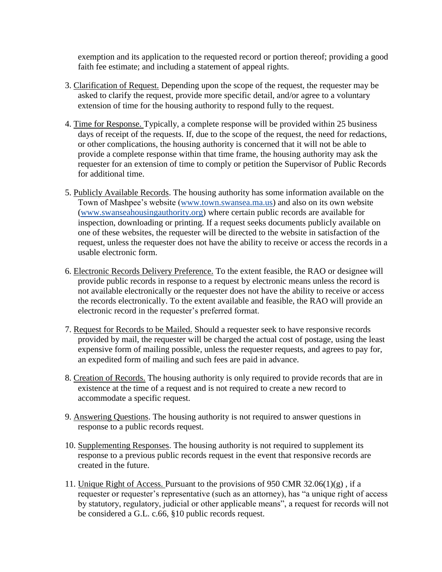exemption and its application to the requested record or portion thereof; providing a good faith fee estimate; and including a statement of appeal rights.

- 3. Clarification of Request. Depending upon the scope of the request, the requester may be asked to clarify the request, provide more specific detail, and/or agree to a voluntary extension of time for the housing authority to respond fully to the request.
- 4. Time for Response. Typically, a complete response will be provided within 25 business days of receipt of the requests. If, due to the scope of the request, the need for redactions, or other complications, the housing authority is concerned that it will not be able to provide a complete response within that time frame, the housing authority may ask the requester for an extension of time to comply or petition the Supervisor of Public Records for additional time.
- 5. Publicly Available Records. The housing authority has some information available on the Town of Mashpee's website [\(www.town.swansea.ma.us\)](http://www.town.swansea.ma.us/) and also on its own website [\(www.swanseahousingauthority.org\)](http://www.swanseahousingauthority.org/) where certain public records are available for inspection, downloading or printing. If a request seeks documents publicly available on one of these websites, the requester will be directed to the website in satisfaction of the request, unless the requester does not have the ability to receive or access the records in a usable electronic form.
- 6. Electronic Records Delivery Preference. To the extent feasible, the RAO or designee will provide public records in response to a request by electronic means unless the record is not available electronically or the requester does not have the ability to receive or access the records electronically. To the extent available and feasible, the RAO will provide an electronic record in the requester's preferred format.
- 7. Request for Records to be Mailed. Should a requester seek to have responsive records provided by mail, the requester will be charged the actual cost of postage, using the least expensive form of mailing possible, unless the requester requests, and agrees to pay for, an expedited form of mailing and such fees are paid in advance.
- 8. Creation of Records. The housing authority is only required to provide records that are in existence at the time of a request and is not required to create a new record to accommodate a specific request.
- 9. Answering Questions. The housing authority is not required to answer questions in response to a public records request.
- 10. Supplementing Responses. The housing authority is not required to supplement its response to a previous public records request in the event that responsive records are created in the future.
- 11. Unique Right of Access. Pursuant to the provisions of 950 CMR 32.06(1)(g) , if a requester or requester's representative (such as an attorney), has "a unique right of access by statutory, regulatory, judicial or other applicable means", a request for records will not be considered a G.L. c.66, §10 public records request.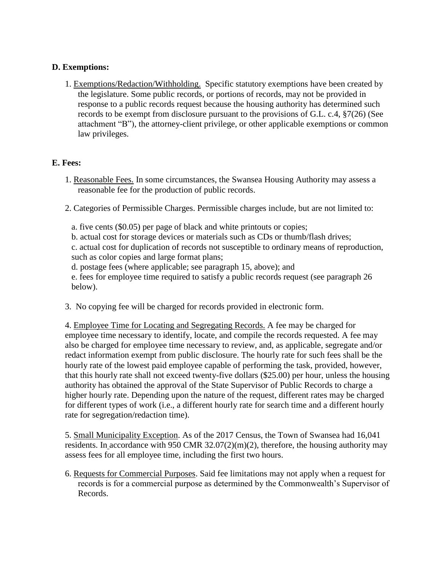## **D. Exemptions:**

1. Exemptions/Redaction/Withholding. Specific statutory exemptions have been created by the legislature. Some public records, or portions of records, may not be provided in response to a public records request because the housing authority has determined such records to be exempt from disclosure pursuant to the provisions of G.L. c.4, §7(26) (See attachment "B"), the attorney-client privilege, or other applicable exemptions or common law privileges.

### **E. Fees:**

- 1. Reasonable Fees. In some circumstances, the Swansea Housing Authority may assess a reasonable fee for the production of public records.
- 2. Categories of Permissible Charges. Permissible charges include, but are not limited to:
	- a. five cents (\$0.05) per page of black and white printouts or copies;
	- b. actual cost for storage devices or materials such as CDs or thumb/flash drives;

c. actual cost for duplication of records not susceptible to ordinary means of reproduction, such as color copies and large format plans;

- d. postage fees (where applicable; see paragraph 15, above); and
- e. fees for employee time required to satisfy a public records request (see paragraph 26 below).
- 3. No copying fee will be charged for records provided in electronic form.

4. Employee Time for Locating and Segregating Records. A fee may be charged for employee time necessary to identify, locate, and compile the records requested. A fee may also be charged for employee time necessary to review, and, as applicable, segregate and/or redact information exempt from public disclosure. The hourly rate for such fees shall be the hourly rate of the lowest paid employee capable of performing the task, provided, however, that this hourly rate shall not exceed twenty-five dollars (\$25.00) per hour, unless the housing authority has obtained the approval of the State Supervisor of Public Records to charge a higher hourly rate. Depending upon the nature of the request, different rates may be charged for different types of work (i.e., a different hourly rate for search time and a different hourly rate for segregation/redaction time).

5. Small Municipality Exception. As of the 2017 Census, the Town of Swansea had 16,041 residents. In accordance with 950 CMR  $32.07(2)(m)(2)$ , therefore, the housing authority may assess fees for all employee time, including the first two hours.

6. Requests for Commercial Purposes. Said fee limitations may not apply when a request for records is for a commercial purpose as determined by the Commonwealth's Supervisor of Records.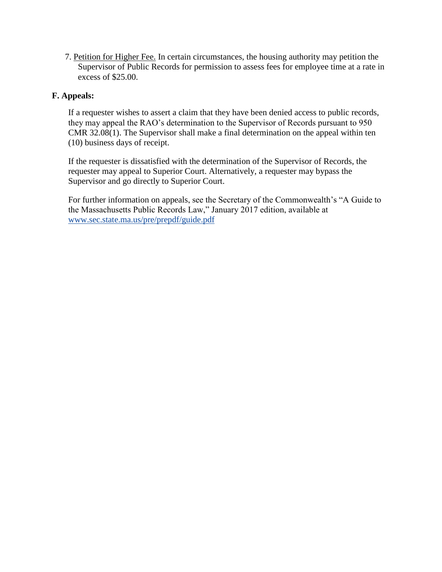7. Petition for Higher Fee. In certain circumstances, the housing authority may petition the Supervisor of Public Records for permission to assess fees for employee time at a rate in excess of \$25.00.

## **F. Appeals:**

If a requester wishes to assert a claim that they have been denied access to public records, they may appeal the RAO's determination to the Supervisor of Records pursuant to 950 CMR 32.08(1). The Supervisor shall make a final determination on the appeal within ten (10) business days of receipt.

If the requester is dissatisfied with the determination of the Supervisor of Records, the requester may appeal to Superior Court. Alternatively, a requester may bypass the Supervisor and go directly to Superior Court.

For further information on appeals, see the Secretary of the Commonwealth's "A Guide to the Massachusetts Public Records Law," January 2017 edition, available at [www.sec.state.ma.us/pre/prepdf/guide.pdf](http://www.sec.state.ma.us/pre/prepdf/guide.pdf)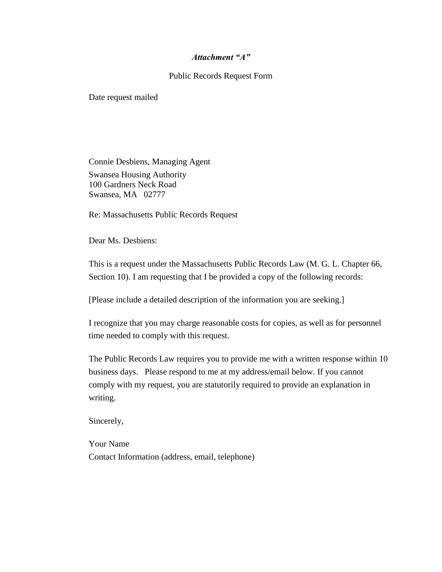### *Attachment "A"*

### Public Records Request Form

Date request mailed

Connie Desbiens, Managing Agent Swansea Housing Authority 100 Gardners Neck Road Swansea, MA 02777

Re: Massachusetts Public Records Request

Dear Ms. Desbiens:

This is a request under the Massachusetts Public Records Law (M. G. L. Chapter 66, Section 10). I am requesting that I be provided a copy of the following records:

[Please include a detailed description of the information you are seeking.]

I recognize that you may charge reasonable costs for copies, as well as for personnel time needed to comply with this request.

The Public Records Law requires you to provide me with a written response within 10 business days. Please respond to me at my address/email below. If you cannot comply with my request, you are statutorily required to provide an explanation in writing.

Sincerely,

Your Name Contact Information (address, email, telephone)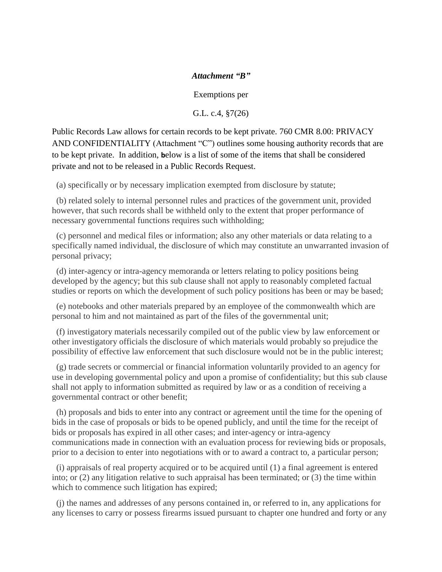### *Attachment "B"*

Exemptions per

G.L. c.4, §7(26)

Public Records Law allows for certain records to be kept private. 760 CMR 8.00: PRIVACY AND CONFIDENTIALITY (Attachment "C") outlines some housing authority records that are to be kept private. In addition, **b**elow is a list of some of the items that shall be considered private and not to be released in a Public Records Request.

(a) specifically or by necessary implication exempted from disclosure by statute;

 (b) related solely to internal personnel rules and practices of the government unit, provided however, that such records shall be withheld only to the extent that proper performance of necessary governmental functions requires such withholding;

 (c) personnel and medical files or information; also any other materials or data relating to a specifically named individual, the disclosure of which may constitute an unwarranted invasion of personal privacy;

 (d) inter-agency or intra-agency memoranda or letters relating to policy positions being developed by the agency; but this sub clause shall not apply to reasonably completed factual studies or reports on which the development of such policy positions has been or may be based;

 (e) notebooks and other materials prepared by an employee of the commonwealth which are personal to him and not maintained as part of the files of the governmental unit;

 (f) investigatory materials necessarily compiled out of the public view by law enforcement or other investigatory officials the disclosure of which materials would probably so prejudice the possibility of effective law enforcement that such disclosure would not be in the public interest;

 (g) trade secrets or commercial or financial information voluntarily provided to an agency for use in developing governmental policy and upon a promise of confidentiality; but this sub clause shall not apply to information submitted as required by law or as a condition of receiving a governmental contract or other benefit;

 (h) proposals and bids to enter into any contract or agreement until the time for the opening of bids in the case of proposals or bids to be opened publicly, and until the time for the receipt of bids or proposals has expired in all other cases; and inter-agency or intra-agency communications made in connection with an evaluation process for reviewing bids or proposals, prior to a decision to enter into negotiations with or to award a contract to, a particular person;

 (i) appraisals of real property acquired or to be acquired until (1) a final agreement is entered into; or (2) any litigation relative to such appraisal has been terminated; or (3) the time within which to commence such litigation has expired;

 (j) the names and addresses of any persons contained in, or referred to in, any applications for any licenses to carry or possess firearms issued pursuant to chapter one hundred and forty or any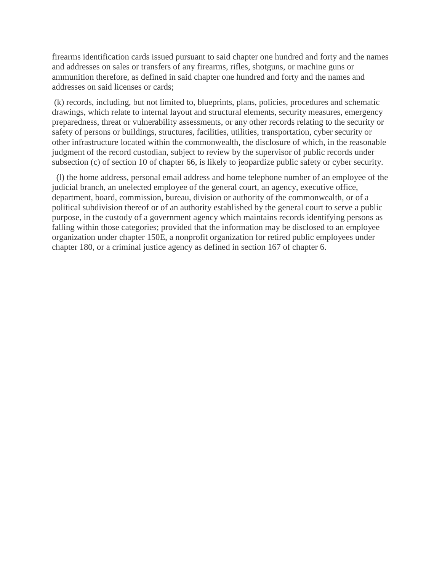firearms identification cards issued pursuant to said chapter one hundred and forty and the names and addresses on sales or transfers of any firearms, rifles, shotguns, or machine guns or ammunition therefore, as defined in said chapter one hundred and forty and the names and addresses on said licenses or cards;

(k) records, including, but not limited to, blueprints, plans, policies, procedures and schematic drawings, which relate to internal layout and structural elements, security measures, emergency preparedness, threat or vulnerability assessments, or any other records relating to the security or safety of persons or buildings, structures, facilities, utilities, transportation, cyber security or other infrastructure located within the commonwealth, the disclosure of which, in the reasonable judgment of the record custodian, subject to review by the supervisor of public records under subsection (c) of section 10 of chapter 66, is likely to jeopardize public safety or cyber security.

 (l) the home address, personal email address and home telephone number of an employee of the judicial branch, an unelected employee of the general court, an agency, executive office, department, board, commission, bureau, division or authority of the commonwealth, or of a political subdivision thereof or of an authority established by the general court to serve a public purpose, in the custody of a government agency which maintains records identifying persons as falling within those categories; provided that the information may be disclosed to an employee organization under chapter 150E, a nonprofit organization for retired public employees under chapter 180, or a criminal justice agency as defined in section 167 of chapter 6.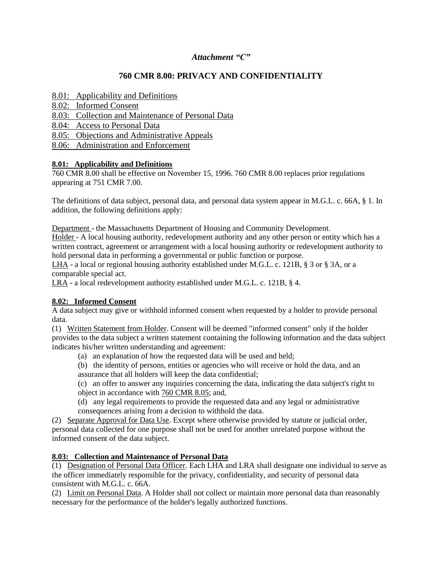### *Attachment "C"*

# **760 CMR 8.00: PRIVACY AND CONFIDENTIALITY**

- [8.01: Applicability and Definitions](http://www.mass.gov/dhcd/regulations/#ONE)
- [8.02: Informed Consent](http://www.mass.gov/dhcd/regulations/#TWO)
- [8.03: Collection and Maintenance of Personal Data](http://www.mass.gov/dhcd/regulations/#THREE)
- [8.04: Access to Personal Data](http://www.mass.gov/dhcd/regulations/#FOUR)
- [8.05: Objections and Administrative Appeals](http://www.mass.gov/dhcd/regulations/#FIVE)
- [8.06: Administration and Enforcement](http://www.mass.gov/dhcd/regulations/#SIX)

### **8.01: Applicability and Definitions**

760 CMR 8.00 shall be effective on November 15, 1996. 760 CMR 8.00 replaces prior regulations appearing at 751 CMR 7.00.

The definitions of data subject, personal data, and personal data system appear in M.G.L. c. 66A, § 1. In addition, the following definitions apply:

Department - the Massachusetts Department of Housing and Community Development.

Holder - A local housing authority, redevelopment authority and any other person or entity which has a written contract, agreement or arrangement with a local housing authority or redevelopment authority to hold personal data in performing a governmental or public function or purpose.

LHA - a local or regional housing authority established under M.G.L. c. 121B, § 3 or § 3A, or a comparable special act.

LRA - a local redevelopment authority established under M.G.L. c. 121B, § 4.

### **8.02: Informed Consent**

A data subject may give or withhold informed consent when requested by a holder to provide personal data.

(1) Written Statement from Holder. Consent will be deemed "informed consent" only if the holder provides to the data subject a written statement containing the following information and the data subject indicates his/her written understanding and agreement:

(a) an explanation of how the requested data will be used and held;

(b) the identity of persons, entities or agencies who will receive or hold the data, and an assurance that all holders will keep the data confidential;

(c) an offer to answer any inquiries concerning the data, indicating the data subject's right to object in accordance with [760 CMR 8.05;](http://www.mass.gov/dhcd/regulations/760008.HTM#FIVE) and,

(d) any legal requirements to provide the requested data and any legal or administrative consequences arising from a decision to withhold the data.

(2) Separate Approval for Data Use. Except where otherwise provided by statute or judicial order, personal data collected for one purpose shall not be used for another unrelated purpose without the informed consent of the data subject.

# **8.03: Collection and Maintenance of Personal Data**

(1) Designation of Personal Data Officer. Each LHA and LRA shall designate one individual to serve as the officer immediately responsible for the privacy, confidentiality, and security of personal data consistent with M.G.L. c. 66A.

(2) Limit on Personal Data. A Holder shall not collect or maintain more personal data than reasonably necessary for the performance of the holder's legally authorized functions.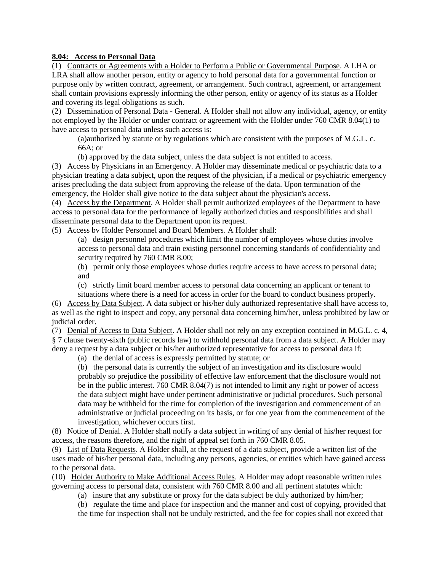### **8.04: Access to Personal Data**

(1) Contracts or Agreements with a Holder to Perform a Public or Governmental Purpose. A LHA or LRA shall allow another person, entity or agency to hold personal data for a governmental function or purpose only by written contract, agreement, or arrangement. Such contract, agreement, or arrangement shall contain provisions expressly informing the other person, entity or agency of its status as a Holder and covering its legal obligations as such.

(2) Dissemination of Personal Data - General. A Holder shall not allow any individual, agency, or entity not employed by the Holder or under contract or agreement with the Holder under [760 CMR 8.04\(1\)](http://www.mass.gov/dhcd/regulations/760008.HTM#FOUR) to have access to personal data unless such access is:

(a)authorized by statute or by regulations which are consistent with the purposes of M.G.L. c. 66A; or

(b) approved by the data subject, unless the data subject is not entitled to access.

(3) Access by Physicians in an Emergency. A Holder may disseminate medical or psychiatric data to a physician treating a data subject, upon the request of the physician, if a medical or psychiatric emergency arises precluding the data subject from approving the release of the data. Upon termination of the emergency, the Holder shall give notice to the data subject about the physician's access.

(4) Access by the Department. A Holder shall permit authorized employees of the Department to have access to personal data for the performance of legally authorized duties and responsibilities and shall disseminate personal data to the Department upon its request.

(5) Access bv Holder Personnel and Board Members. A Holder shall:

(a) design personnel procedures which limit the number of employees whose duties involve access to personal data and train existing personnel concerning standards of confidentiality and security required by 760 CMR 8.00;

(b) permit only those employees whose duties require access to have access to personal data; and

(c) strictly limit board member access to personal data concerning an applicant or tenant to

situations where there is a need for access in order for the board to conduct business properly. (6) Access by Data Subject. A data subject or his/her duly authorized representative shall have access to,

as well as the right to inspect and copy, any personal data concerning him/her, unless prohibited by law or judicial order.

(7) Denial of Access to Data Subject. A Holder shall not rely on any exception contained in M.G.L. c. 4, § 7 clause twenty-sixth (public records law) to withhold personal data from a data subject. A Holder may deny a request by a data subject or his/her authorized representative for access to personal data if:

(a) the denial of access is expressly permitted by statute; or

(b) the personal data is currently the subject of an investigation and its disclosure would probably so prejudice the possibility of effective law enforcement that the disclosure would not be in the public interest. 760 CMR 8.04(7) is not intended to limit any right or power of access the data subject might have under pertinent administrative or judicial procedures. Such personal data may be withheld for the time for completion of the investigation and commencement of an administrative or judicial proceeding on its basis, or for one year from the commencement of the investigation, whichever occurs first.

(8) Notice of Denial. A Holder shall notify a data subject in writing of any denial of his/her request for access, the reasons therefore, and the right of appeal set forth in [760 CMR 8.05.](http://www.mass.gov/dhcd/regulations/760008.HTM#FIVE)

(9) List of Data Requests. A Holder shall, at the request of a data subject, provide a written list of the uses made of his/her personal data, including any persons, agencies, or entities which have gained access to the personal data.

(10) Holder Authority to Make Additional Access Rules. A Holder may adopt reasonable written rules governing access to personal data, consistent with 760 CMR 8.00 and all pertinent statutes which:

(a) insure that any substitute or proxy for the data subject be duly authorized by him/her;

(b) regulate the time and place for inspection and the manner and cost of copying, provided that the time for inspection shall not be unduly restricted, and the fee for copies shall not exceed that